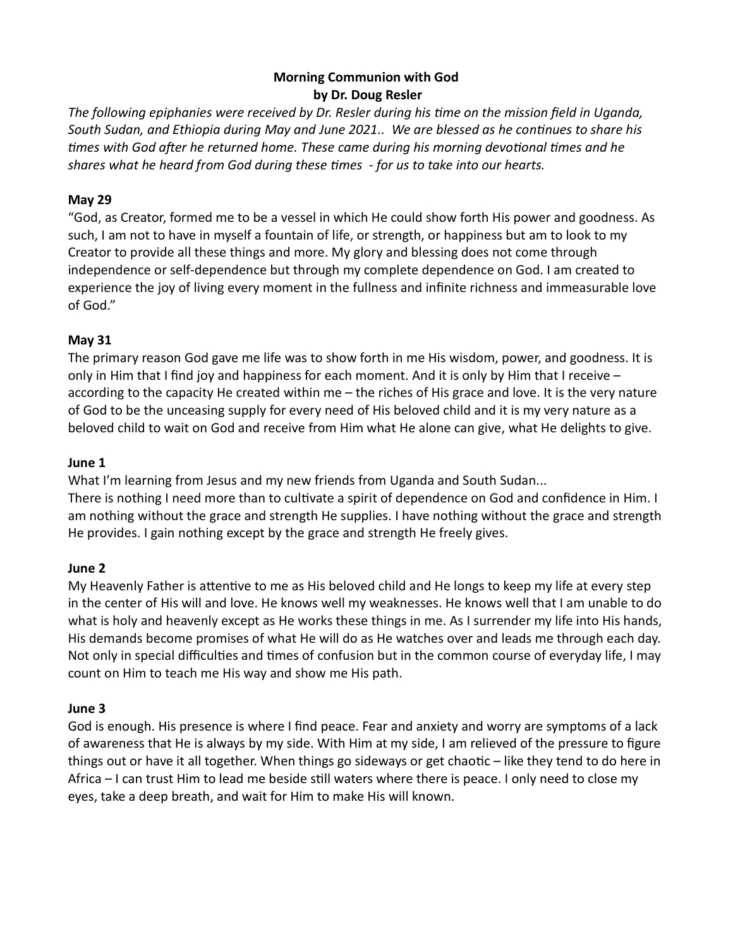# Morning Communion with God by Dr. Doug Resler

The following epiphanies were received by Dr. Resler during his time on the mission field in Uganda, South Sudan, and Ethiopia during May and June 2021.. We are blessed as he continues to share his times with God after he returned home. These came during his morning devotional times and he shares what he heard from God during these times - for us to take into our hearts.

# May 29

"God, as Creator, formed me to be a vessel in which He could show forth His power and goodness. As such, I am not to have in myself a fountain of life, or strength, or happiness but am to look to my Creator to provide all these things and more. My glory and blessing does not come through independence or self-dependence but through my complete dependence on God. I am created to experience the joy of living every moment in the fullness and infinite richness and immeasurable love of God."

# May 31

The primary reason God gave me life was to show forth in me His wisdom, power, and goodness. It is only in Him that I find joy and happiness for each moment. And it is only by Him that I receive – according to the capacity He created within me – the riches of His grace and love. It is the very nature of God to be the unceasing supply for every need of His beloved child and it is my very nature as a beloved child to wait on God and receive from Him what He alone can give, what He delights to give.

# June 1

What I'm learning from Jesus and my new friends from Uganda and South Sudan... There is nothing I need more than to cultivate a spirit of dependence on God and confidence in Him. I am nothing without the grace and strength He supplies. I have nothing without the grace and strength He provides. I gain nothing except by the grace and strength He freely gives.

# June 2

My Heavenly Father is attentive to me as His beloved child and He longs to keep my life at every step in the center of His will and love. He knows well my weaknesses. He knows well that I am unable to do what is holy and heavenly except as He works these things in me. As I surrender my life into His hands, His demands become promises of what He will do as He watches over and leads me through each day. Not only in special difficulties and times of confusion but in the common course of everyday life, I may count on Him to teach me His way and show me His path.

# June 3

God is enough. His presence is where I find peace. Fear and anxiety and worry are symptoms of a lack of awareness that He is always by my side. With Him at my side, I am relieved of the pressure to figure things out or have it all together. When things go sideways or get chaotic – like they tend to do here in Africa  $-1$  can trust Him to lead me beside still waters where there is peace. I only need to close my eyes, take a deep breath, and wait for Him to make His will known.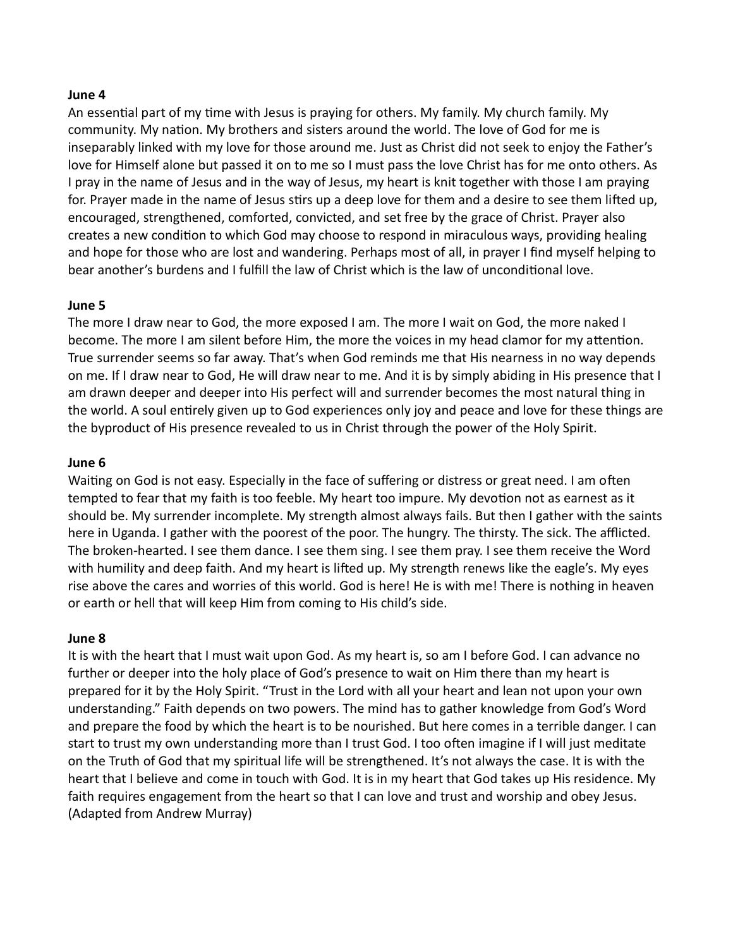An essential part of my time with Jesus is praying for others. My family. My church family. My community. My nation. My brothers and sisters around the world. The love of God for me is inseparably linked with my love for those around me. Just as Christ did not seek to enjoy the Father's love for Himself alone but passed it on to me so I must pass the love Christ has for me onto others. As I pray in the name of Jesus and in the way of Jesus, my heart is knit together with those I am praying for. Prayer made in the name of Jesus stirs up a deep love for them and a desire to see them lifted up, encouraged, strengthened, comforted, convicted, and set free by the grace of Christ. Prayer also creates a new condition to which God may choose to respond in miraculous ways, providing healing and hope for those who are lost and wandering. Perhaps most of all, in prayer I find myself helping to bear another's burdens and I fulfill the law of Christ which is the law of unconditional love.

### June 5

The more I draw near to God, the more exposed I am. The more I wait on God, the more naked I become. The more I am silent before Him, the more the voices in my head clamor for my attention. True surrender seems so far away. That's when God reminds me that His nearness in no way depends on me. If I draw near to God, He will draw near to me. And it is by simply abiding in His presence that I am drawn deeper and deeper into His perfect will and surrender becomes the most natural thing in the world. A soul entirely given up to God experiences only joy and peace and love for these things are the byproduct of His presence revealed to us in Christ through the power of the Holy Spirit.

#### June 6

Waiting on God is not easy. Especially in the face of suffering or distress or great need. I am often tempted to fear that my faith is too feeble. My heart too impure. My devotion not as earnest as it should be. My surrender incomplete. My strength almost always fails. But then I gather with the saints here in Uganda. I gather with the poorest of the poor. The hungry. The thirsty. The sick. The afflicted. The broken-hearted. I see them dance. I see them sing. I see them pray. I see them receive the Word with humility and deep faith. And my heart is lifted up. My strength renews like the eagle's. My eyes rise above the cares and worries of this world. God is here! He is with me! There is nothing in heaven or earth or hell that will keep Him from coming to His child's side.

#### June 8

It is with the heart that I must wait upon God. As my heart is, so am I before God. I can advance no further or deeper into the holy place of God's presence to wait on Him there than my heart is prepared for it by the Holy Spirit. "Trust in the Lord with all your heart and lean not upon your own understanding." Faith depends on two powers. The mind has to gather knowledge from God's Word and prepare the food by which the heart is to be nourished. But here comes in a terrible danger. I can start to trust my own understanding more than I trust God. I too often imagine if I will just meditate on the Truth of God that my spiritual life will be strengthened. It's not always the case. It is with the heart that I believe and come in touch with God. It is in my heart that God takes up His residence. My faith requires engagement from the heart so that I can love and trust and worship and obey Jesus. (Adapted from Andrew Murray)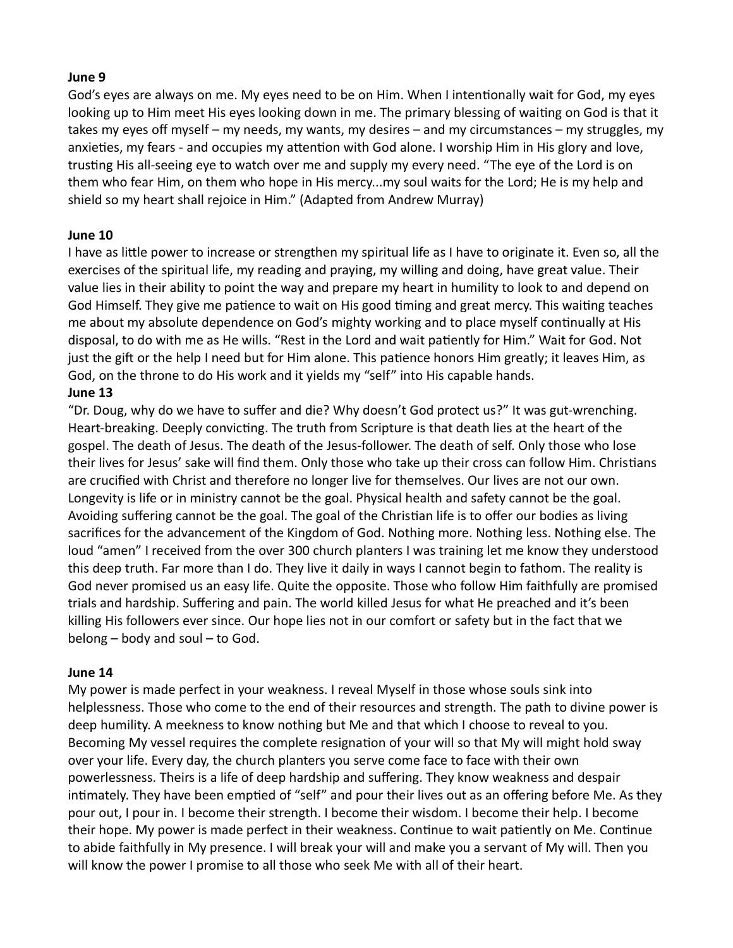God's eyes are always on me. My eyes need to be on Him. When I intentionally wait for God, my eyes looking up to Him meet His eyes looking down in me. The primary blessing of waiting on God is that it takes my eyes off myself – my needs, my wants, my desires – and my circumstances – my struggles, my anxieties, my fears - and occupies my attention with God alone. I worship Him in His glory and love, trusting His all-seeing eye to watch over me and supply my every need. "The eye of the Lord is on them who fear Him, on them who hope in His mercy...my soul waits for the Lord; He is my help and shield so my heart shall rejoice in Him." (Adapted from Andrew Murray)

## June 10

I have as little power to increase or strengthen my spiritual life as I have to originate it. Even so, all the exercises of the spiritual life, my reading and praying, my willing and doing, have great value. Their value lies in their ability to point the way and prepare my heart in humility to look to and depend on God Himself. They give me patience to wait on His good timing and great mercy. This waiting teaches me about my absolute dependence on God's mighty working and to place myself continually at His disposal, to do with me as He wills. "Rest in the Lord and wait patiently for Him." Wait for God. Not just the gift or the help I need but for Him alone. This patience honors Him greatly; it leaves Him, as God, on the throne to do His work and it yields my "self" into His capable hands. June 13

"Dr. Doug, why do we have to suffer and die? Why doesn't God protect us?" It was gut-wrenching. Heart-breaking. Deeply convicting. The truth from Scripture is that death lies at the heart of the gospel. The death of Jesus. The death of the Jesus-follower. The death of self. Only those who lose their lives for Jesus' sake will find them. Only those who take up their cross can follow Him. Christians are crucified with Christ and therefore no longer live for themselves. Our lives are not our own. Longevity is life or in ministry cannot be the goal. Physical health and safety cannot be the goal. Avoiding suffering cannot be the goal. The goal of the Christian life is to offer our bodies as living sacrifices for the advancement of the Kingdom of God. Nothing more. Nothing less. Nothing else. The loud "amen" I received from the over 300 church planters I was training let me know they understood this deep truth. Far more than I do. They live it daily in ways I cannot begin to fathom. The reality is God never promised us an easy life. Quite the opposite. Those who follow Him faithfully are promised trials and hardship. Suffering and pain. The world killed Jesus for what He preached and it's been killing His followers ever since. Our hope lies not in our comfort or safety but in the fact that we belong – body and soul – to God.

# June 14

My power is made perfect in your weakness. I reveal Myself in those whose souls sink into helplessness. Those who come to the end of their resources and strength. The path to divine power is deep humility. A meekness to know nothing but Me and that which I choose to reveal to you. Becoming My vessel requires the complete resignation of your will so that My will might hold sway over your life. Every day, the church planters you serve come face to face with their own powerlessness. Theirs is a life of deep hardship and suffering. They know weakness and despair intimately. They have been emptied of "self" and pour their lives out as an offering before Me. As they pour out, I pour in. I become their strength. I become their wisdom. I become their help. I become their hope. My power is made perfect in their weakness. Continue to wait patiently on Me. Continue to abide faithfully in My presence. I will break your will and make you a servant of My will. Then you will know the power I promise to all those who seek Me with all of their heart.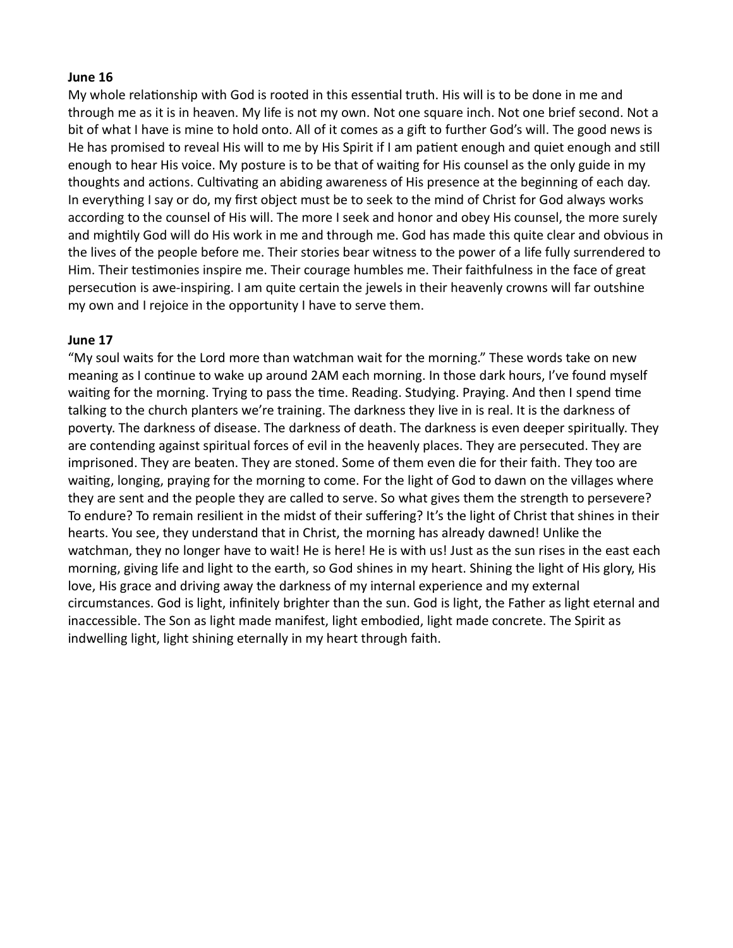My whole relationship with God is rooted in this essential truth. His will is to be done in me and through me as it is in heaven. My life is not my own. Not one square inch. Not one brief second. Not a bit of what I have is mine to hold onto. All of it comes as a gift to further God's will. The good news is He has promised to reveal His will to me by His Spirit if I am patient enough and quiet enough and still enough to hear His voice. My posture is to be that of waiting for His counsel as the only guide in my thoughts and actions. Cultivating an abiding awareness of His presence at the beginning of each day. In everything I say or do, my first object must be to seek to the mind of Christ for God always works according to the counsel of His will. The more I seek and honor and obey His counsel, the more surely and mightily God will do His work in me and through me. God has made this quite clear and obvious in the lives of the people before me. Their stories bear witness to the power of a life fully surrendered to Him. Their testimonies inspire me. Their courage humbles me. Their faithfulness in the face of great persecution is awe-inspiring. I am quite certain the jewels in their heavenly crowns will far outshine my own and I rejoice in the opportunity I have to serve them.

### June 17

"My soul waits for the Lord more than watchman wait for the morning." These words take on new meaning as I continue to wake up around 2AM each morning. In those dark hours, I've found myself waiting for the morning. Trying to pass the time. Reading. Studying. Praying. And then I spend time talking to the church planters we're training. The darkness they live in is real. It is the darkness of poverty. The darkness of disease. The darkness of death. The darkness is even deeper spiritually. They are contending against spiritual forces of evil in the heavenly places. They are persecuted. They are imprisoned. They are beaten. They are stoned. Some of them even die for their faith. They too are waiting, longing, praying for the morning to come. For the light of God to dawn on the villages where they are sent and the people they are called to serve. So what gives them the strength to persevere? To endure? To remain resilient in the midst of their suffering? It's the light of Christ that shines in their hearts. You see, they understand that in Christ, the morning has already dawned! Unlike the watchman, they no longer have to wait! He is here! He is with us! Just as the sun rises in the east each morning, giving life and light to the earth, so God shines in my heart. Shining the light of His glory, His love, His grace and driving away the darkness of my internal experience and my external circumstances. God is light, infinitely brighter than the sun. God is light, the Father as light eternal and inaccessible. The Son as light made manifest, light embodied, light made concrete. The Spirit as indwelling light, light shining eternally in my heart through faith.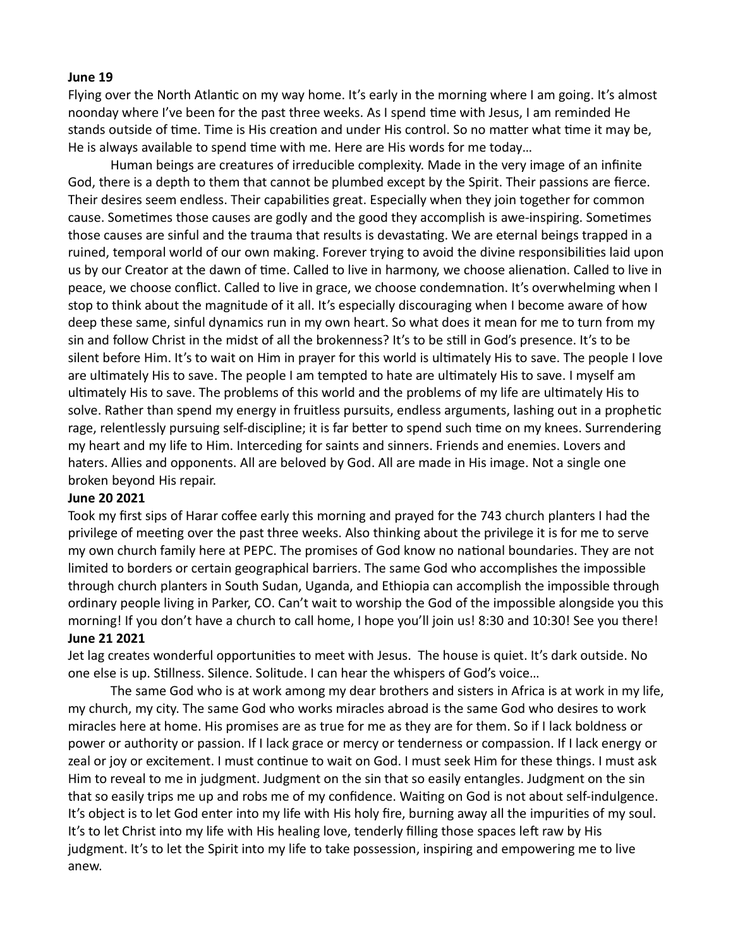Flying over the North Atlantic on my way home. It's early in the morning where I am going. It's almost noonday where I've been for the past three weeks. As I spend time with Jesus, I am reminded He stands outside of time. Time is His creation and under His control. So no matter what time it may be, He is always available to spend time with me. Here are His words for me today...

Human beings are creatures of irreducible complexity. Made in the very image of an infinite God, there is a depth to them that cannot be plumbed except by the Spirit. Their passions are fierce. Their desires seem endless. Their capabilities great. Especially when they join together for common cause. Sometimes those causes are godly and the good they accomplish is awe-inspiring. Sometimes those causes are sinful and the trauma that results is devastating. We are eternal beings trapped in a ruined, temporal world of our own making. Forever trying to avoid the divine responsibilities laid upon us by our Creator at the dawn of time. Called to live in harmony, we choose alienation. Called to live in peace, we choose conflict. Called to live in grace, we choose condemnation. It's overwhelming when I stop to think about the magnitude of it all. It's especially discouraging when I become aware of how deep these same, sinful dynamics run in my own heart. So what does it mean for me to turn from my sin and follow Christ in the midst of all the brokenness? It's to be still in God's presence. It's to be silent before Him. It's to wait on Him in prayer for this world is ultimately His to save. The people I love are ultimately His to save. The people I am tempted to hate are ultimately His to save. I myself am ultimately His to save. The problems of this world and the problems of my life are ultimately His to solve. Rather than spend my energy in fruitless pursuits, endless arguments, lashing out in a prophetic rage, relentlessly pursuing self-discipline; it is far better to spend such time on my knees. Surrendering my heart and my life to Him. Interceding for saints and sinners. Friends and enemies. Lovers and haters. Allies and opponents. All are beloved by God. All are made in His image. Not a single one broken beyond His repair.

### June 20 2021

Took my first sips of Harar coffee early this morning and prayed for the 743 church planters I had the privilege of meeting over the past three weeks. Also thinking about the privilege it is for me to serve my own church family here at PEPC. The promises of God know no national boundaries. They are not limited to borders or certain geographical barriers. The same God who accomplishes the impossible through church planters in South Sudan, Uganda, and Ethiopia can accomplish the impossible through ordinary people living in Parker, CO. Can't wait to worship the God of the impossible alongside you this morning! If you don't have a church to call home, I hope you'll join us! 8:30 and 10:30! See you there! June 21 2021

Jet lag creates wonderful opportunities to meet with Jesus. The house is quiet. It's dark outside. No one else is up. SƟllness. Silence. Solitude. I can hear the whispers of God's voice…

The same God who is at work among my dear brothers and sisters in Africa is at work in my life, my church, my city. The same God who works miracles abroad is the same God who desires to work miracles here at home. His promises are as true for me as they are for them. So if I lack boldness or power or authority or passion. If I lack grace or mercy or tenderness or compassion. If I lack energy or zeal or joy or excitement. I must continue to wait on God. I must seek Him for these things. I must ask Him to reveal to me in judgment. Judgment on the sin that so easily entangles. Judgment on the sin that so easily trips me up and robs me of my confidence. Waiting on God is not about self-indulgence. It's object is to let God enter into my life with His holy fire, burning away all the impurities of my soul. It's to let Christ into my life with His healing love, tenderly filling those spaces left raw by His judgment. It's to let the Spirit into my life to take possession, inspiring and empowering me to live anew.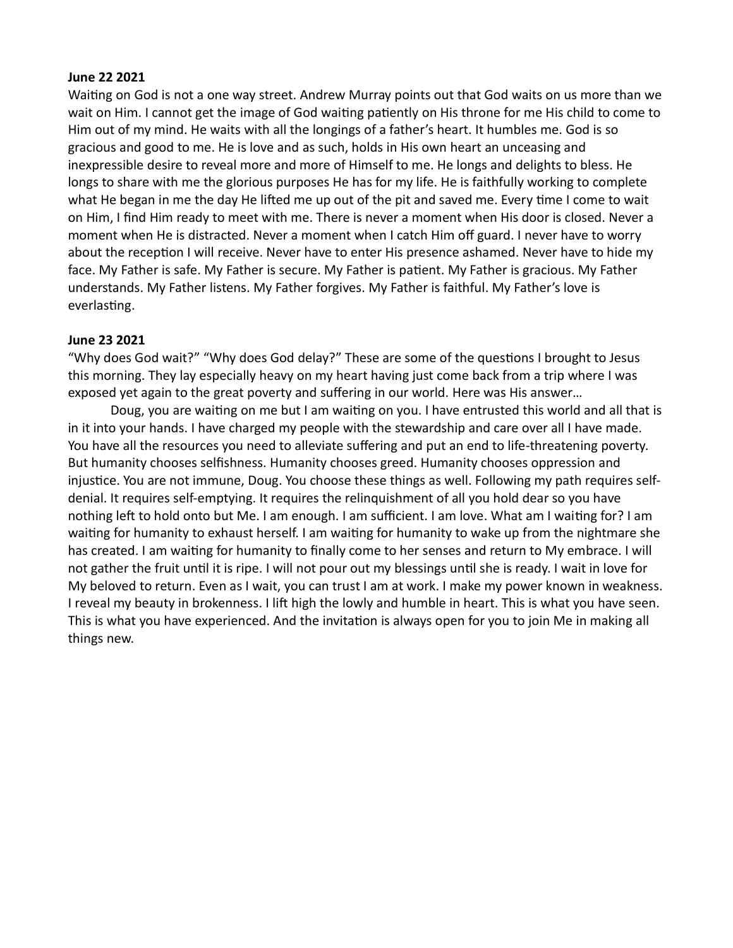### June 22 2021

Waiting on God is not a one way street. Andrew Murray points out that God waits on us more than we wait on Him. I cannot get the image of God waiting patiently on His throne for me His child to come to Him out of my mind. He waits with all the longings of a father's heart. It humbles me. God is so gracious and good to me. He is love and as such, holds in His own heart an unceasing and inexpressible desire to reveal more and more of Himself to me. He longs and delights to bless. He longs to share with me the glorious purposes He has for my life. He is faithfully working to complete what He began in me the day He lifted me up out of the pit and saved me. Every time I come to wait on Him, I find Him ready to meet with me. There is never a moment when His door is closed. Never a moment when He is distracted. Never a moment when I catch Him off guard. I never have to worry about the reception I will receive. Never have to enter His presence ashamed. Never have to hide my face. My Father is safe. My Father is secure. My Father is patient. My Father is gracious. My Father understands. My Father listens. My Father forgives. My Father is faithful. My Father's love is everlasting.

#### June 23 2021

"Why does God wait?" "Why does God delay?" These are some of the questions I brought to Jesus this morning. They lay especially heavy on my heart having just come back from a trip where I was exposed yet again to the great poverty and suffering in our world. Here was His answer…

Doug, you are waiting on me but I am waiting on you. I have entrusted this world and all that is in it into your hands. I have charged my people with the stewardship and care over all I have made. You have all the resources you need to alleviate suffering and put an end to life-threatening poverty. But humanity chooses selfishness. Humanity chooses greed. Humanity chooses oppression and injustice. You are not immune, Doug. You choose these things as well. Following my path requires selfdenial. It requires self-emptying. It requires the relinquishment of all you hold dear so you have nothing left to hold onto but Me. I am enough. I am sufficient. I am love. What am I waiting for? I am waiting for humanity to exhaust herself. I am waiting for humanity to wake up from the nightmare she has created. I am waiting for humanity to finally come to her senses and return to My embrace. I will not gather the fruit until it is ripe. I will not pour out my blessings until she is ready. I wait in love for My beloved to return. Even as I wait, you can trust I am at work. I make my power known in weakness. I reveal my beauty in brokenness. I lift high the lowly and humble in heart. This is what you have seen. This is what you have experienced. And the invitation is always open for you to join Me in making all things new.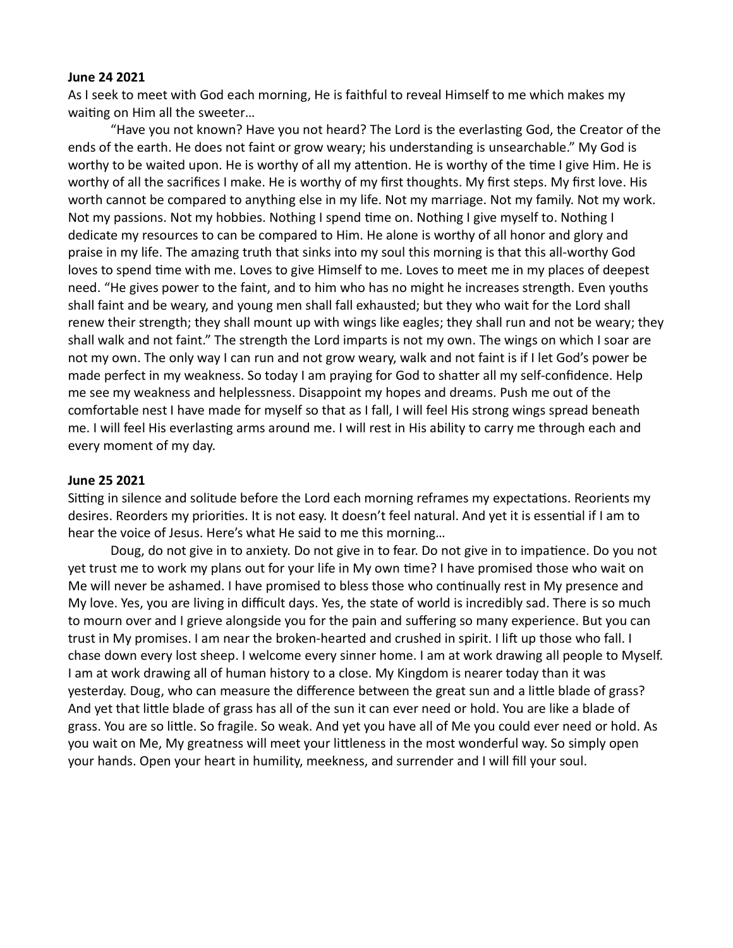#### June 24 2021

As I seek to meet with God each morning, He is faithful to reveal Himself to me which makes my waiting on Him all the sweeter...

"Have you not known? Have you not heard? The Lord is the everlasting God, the Creator of the ends of the earth. He does not faint or grow weary; his understanding is unsearchable." My God is worthy to be waited upon. He is worthy of all my attention. He is worthy of the time I give Him. He is worthy of all the sacrifices I make. He is worthy of my first thoughts. My first steps. My first love. His worth cannot be compared to anything else in my life. Not my marriage. Not my family. Not my work. Not my passions. Not my hobbies. Nothing I spend time on. Nothing I give myself to. Nothing I dedicate my resources to can be compared to Him. He alone is worthy of all honor and glory and praise in my life. The amazing truth that sinks into my soul this morning is that this all-worthy God loves to spend time with me. Loves to give Himself to me. Loves to meet me in my places of deepest need. "He gives power to the faint, and to him who has no might he increases strength. Even youths shall faint and be weary, and young men shall fall exhausted; but they who wait for the Lord shall renew their strength; they shall mount up with wings like eagles; they shall run and not be weary; they shall walk and not faint." The strength the Lord imparts is not my own. The wings on which I soar are not my own. The only way I can run and not grow weary, walk and not faint is if I let God's power be made perfect in my weakness. So today I am praying for God to shatter all my self-confidence. Help me see my weakness and helplessness. Disappoint my hopes and dreams. Push me out of the comfortable nest I have made for myself so that as I fall, I will feel His strong wings spread beneath me. I will feel His everlasting arms around me. I will rest in His ability to carry me through each and every moment of my day.

#### June 25 2021

Sitting in silence and solitude before the Lord each morning reframes my expectations. Reorients my desires. Reorders my priorities. It is not easy. It doesn't feel natural. And yet it is essential if I am to hear the voice of Jesus. Here's what He said to me this morning…

Doug, do not give in to anxiety. Do not give in to fear. Do not give in to impatience. Do you not yet trust me to work my plans out for your life in My own time? I have promised those who wait on Me will never be ashamed. I have promised to bless those who continually rest in My presence and My love. Yes, you are living in difficult days. Yes, the state of world is incredibly sad. There is so much to mourn over and I grieve alongside you for the pain and suffering so many experience. But you can trust in My promises. I am near the broken-hearted and crushed in spirit. I lift up those who fall. I chase down every lost sheep. I welcome every sinner home. I am at work drawing all people to Myself. I am at work drawing all of human history to a close. My Kingdom is nearer today than it was yesterday. Doug, who can measure the difference between the great sun and a little blade of grass? And yet that little blade of grass has all of the sun it can ever need or hold. You are like a blade of grass. You are so little. So fragile. So weak. And yet you have all of Me you could ever need or hold. As you wait on Me, My greatness will meet your littleness in the most wonderful way. So simply open your hands. Open your heart in humility, meekness, and surrender and I will fill your soul.